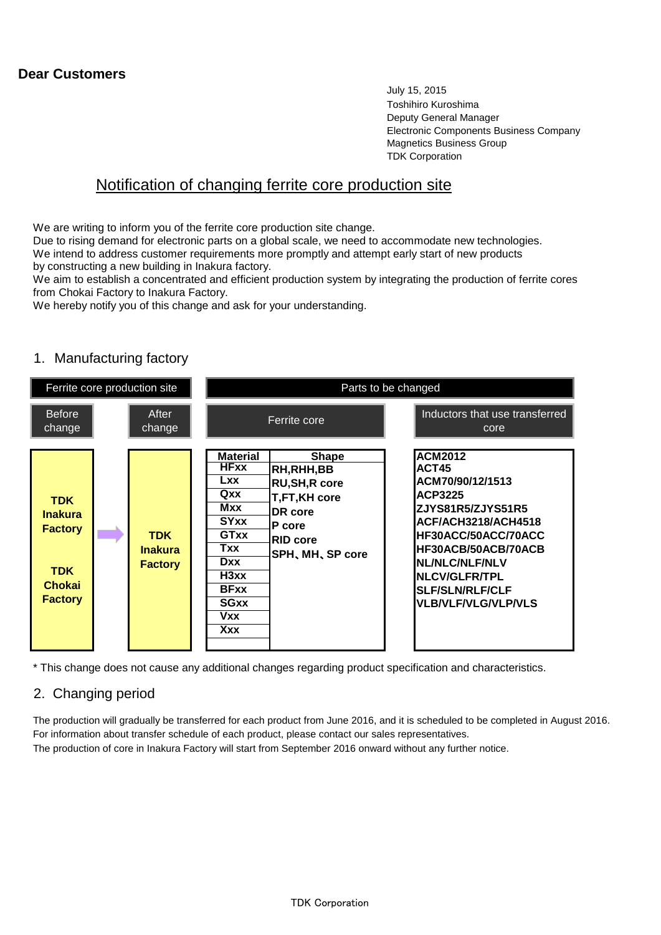#### **Dear Customers**

July 15, 2015 Toshihiro Kuroshima Deputy General Manager Electronic Components Business Company Magnetics Business Group TDK Corporation

### Notification of changing ferrite core production site

We are writing to inform you of the ferrite core production site change.

Due to rising demand for electronic parts on a global scale, we need to accommodate new technologies. We intend to address customer requirements more promptly and attempt early start of new products by constructing a new building in Inakura factory.

We aim to establish a concentrated and efficient production system by integrating the production of ferrite cores from Chokai Factory to Inakura Factory.

We hereby notify you of this change and ask for your understanding.

#### 1. Manufacturing factory



\* This change does not cause any additional changes regarding product specification and characteristics.

#### 2. Changing period

The production will gradually be transferred for each product from June 2016, and it is scheduled to be completed in August 2016. For information about transfer schedule of each product, please contact our sales representatives. The production of core in Inakura Factory will start from September 2016 onward without any further notice.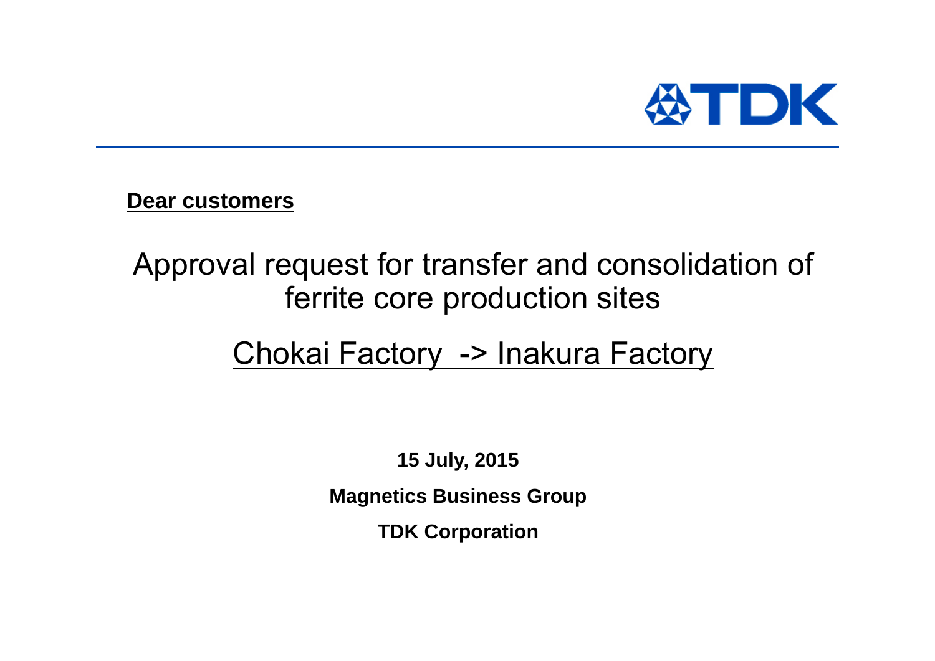

**Dear customers**

# Approval request for transfer and consolidation of ferrite core production sites

# Chokai Factory -> Inakura Factory

**15 July, 2015 Magnetics Business Group TDK Corporation**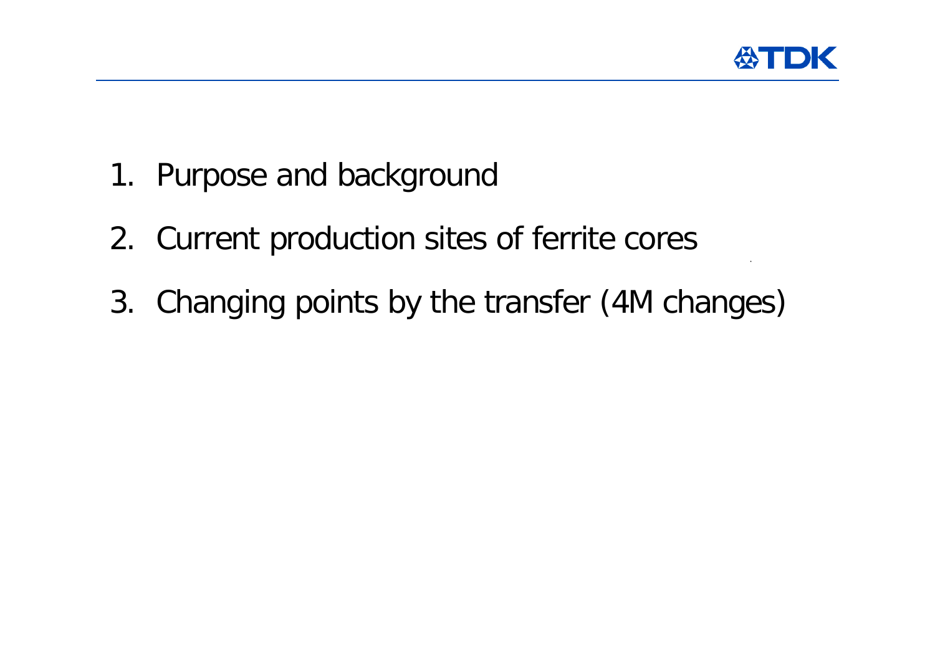

- 1. Purpose and background
- 2. Current production sites of ferrite cores
- 3. Changing points by the transfer (4M changes)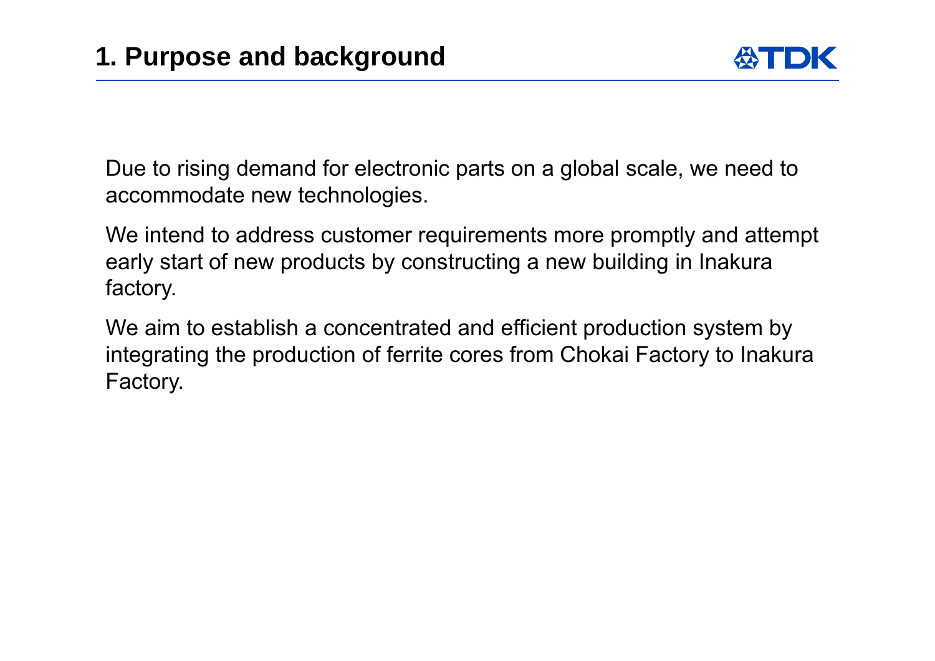Due to rising demand for electronic parts on a global scale, we need to accommodate new technologies.

We intend to address customer requirements more promptly and attempt early start of new products by constructing a new building in Inakura factory.

We aim to establish a concentrated and efficient production system by integrating the production of ferrite cores from Chokai Factory to Inakura Factory.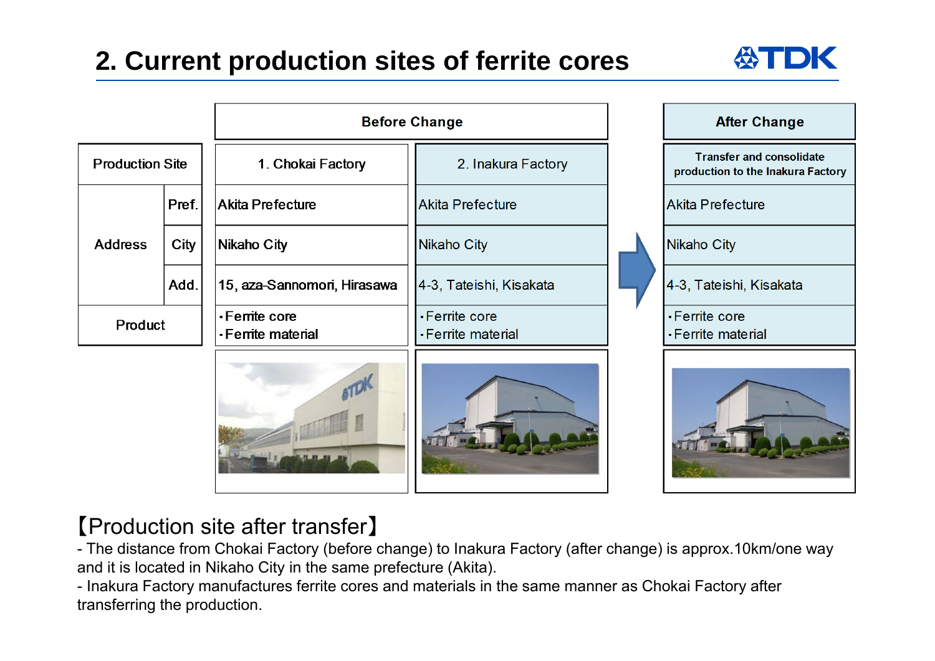## **2. Current production sites of ferrite cores**



|                        |       | <b>Before Change</b>               |                                      |  | <b>After Change</b>                                                  |  |
|------------------------|-------|------------------------------------|--------------------------------------|--|----------------------------------------------------------------------|--|
| <b>Production Site</b> |       | 1. Chokai Factory                  | 2. Inakura Factory                   |  | <b>Transfer and consolidate</b><br>production to the Inakura Factory |  |
| <b>Address</b>         | Pref. | <b>Akita Prefecture</b>            | Akita Prefecture                     |  | Akita Prefecture                                                     |  |
|                        | City  | <b>Nikaho City</b>                 | <b>Nikaho City</b>                   |  | Nikaho City                                                          |  |
|                        | Add.  | 15, aza-Sannomori, Hirasawa        | 4-3, Tateishi, Kisakata              |  | 4-3, Tateishi, Kisakata                                              |  |
| Product                |       | -Ferrite core<br>-Ferrite material | • Ferrite core<br>• Ferrite material |  | -Ferrite core<br>• Ferrite material                                  |  |
|                        |       |                                    |                                      |  |                                                                      |  |

### 【Production site after transfer 】

- The distance from Chokai Factory (before change) to Inakura Factory (after change) is approx.10km/one way and it is located in Nikaho City in the same prefecture (Akita).

- Inakura Factory manufactures ferrite cores and materials in the same manner as Chokai Factory after transferring the production.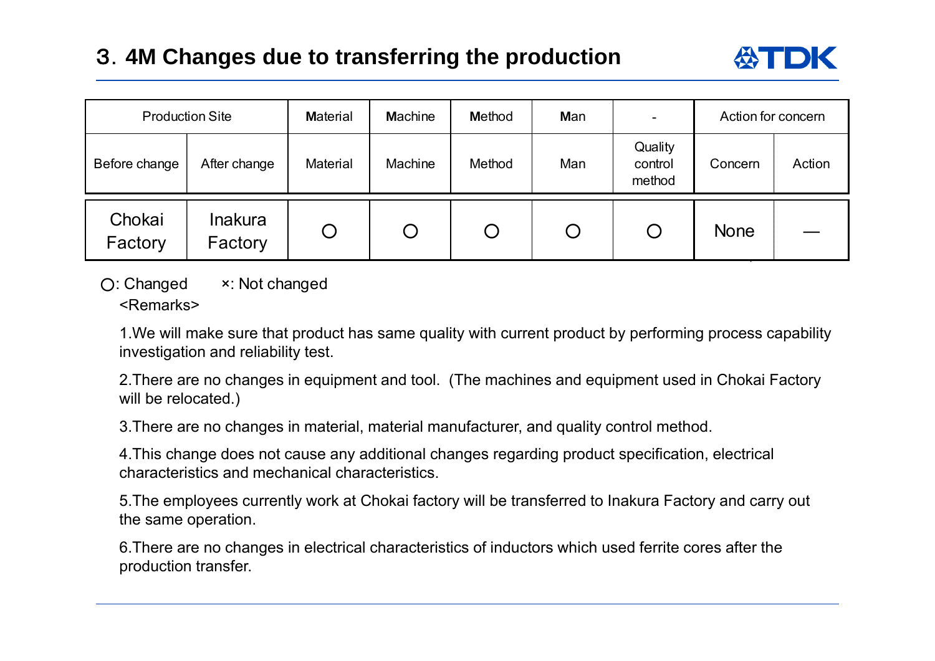### 3.**4M Changes due to transferring the production**

|                   | <b>Production Site</b> | <b>Material</b> | <b>Machine</b> | <b>Method</b> | Man | $\overline{\phantom{a}}$     | Action for concern |        |
|-------------------|------------------------|-----------------|----------------|---------------|-----|------------------------------|--------------------|--------|
| Before change     | After change           | Material        | Machine        | Method        | Man | Quality<br>control<br>method | Concern            | Action |
| Chokai<br>Factory | Inakura<br>Factory     | O               | $\bigcup$      | Ő             |     |                              | <b>None</b>        |        |

 ○: Changed ×: Not changed <Remarks>

1.We will make sure that product has same quality with current product by performing process capability investigation and reliability test.

2.There are no changes in equipment and tool. (The machines and equipment used in Chokai Factory will be relocated.)

3.There are no changes in material, material manufacturer, and quality control method.

4.This change does not cause any additional changes regarding product specification, electrical characteristics and mechanical characteristics.

5.The employees currently work at Chokai factory will be transferred to Inakura Factory and carry out the same operation.

6.There are no changes in electrical characteristics of inductors which used ferrite cores after the production transfer.